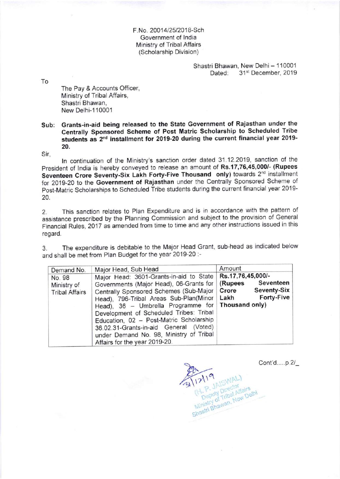F.No. 20014/25/2018-Sch Government of lndia Ministry of Tribal Affairs (Scholarship Division)

> Shastri Bhawan, New Delhi - 110001<br>Dated: 31<sup>st</sup> December, 2019 31st December, 2019

To

The Pay & Accounts Officer, Ministry of Tribal Affairs, Shastri Bhawan, New Delhi-1 10001

## sub: Grants-in-aid being released to the state Government of Rajasthan under the centrally sponsored Scheme of Post Matric Scholarship to Scheduled Tribe students as 2<sup>nd</sup> installment for 2019-20 during the current financial year 2019-20.

Sir,

ln continuation of the Ministry's sanction order dated 31.12.2019, sanction of the President of India is hereby conveyed to release an amount of Rs.17,76,45,000/- (Rupees Seventeen Crore Seventy-Six Lakh Forty-Five Thousand only) towards 2<sup>nd</sup> installment for 2019-20 to the Government of Rajasthan under the Centrally Sponsored Scheme of post-Matric Scholarships to Scheduled Tribe students during the current financial yeat 2019- 20.

2. This sanction relates to Plan Expenditure and is in accordance with the pattern of assistance prescribed by the Planning Commission and subject to the provision of General Financial Rules, 2017 as amended from time to time and any other instructions issued in this regard.

3. The expenditure is debitable to the Major Head Grant, sub-head as indicated below and shall be met from Plan Budget for the year 2019-20 :-

| Demand No.                                     | Major Head, Sub Head                                                                                                                                                                                                                                                                                                                                                                                                                             | Amount                                                                                        |
|------------------------------------------------|--------------------------------------------------------------------------------------------------------------------------------------------------------------------------------------------------------------------------------------------------------------------------------------------------------------------------------------------------------------------------------------------------------------------------------------------------|-----------------------------------------------------------------------------------------------|
| No. 98<br>Ministry of<br><b>Tribal Affairs</b> | Major Head: 3601-Grants-in-aid to State<br>Governments (Major Head), 06-Grants for<br>Centrally Sponsored Schemes (Sub-Major<br>Head), 796-Tribal Areas Sub-Plan(Minor   Lakh<br>Head), 36 - Umbrella Programme for   Thousand only)<br>Development of Scheduled Tribes: Tribal<br>Education, 02 - Post-Matric Scholarship<br>36.02.31-Grants-in-aid General (Voted)<br>under Demand No. 98, Ministry of Tribal<br>Affairs for the year 2019-20. | Rs.17,76,45,000/-<br>Seventeen<br>(Rupees<br><b>Seventy-Six</b><br>Crore<br><b>Forty-Five</b> |

Cont'd....p.2/\_ <sup>Li Deputy Director</sup><br>Ministry of Tribal Affairs<br>Shastri Bhawan, New Delhi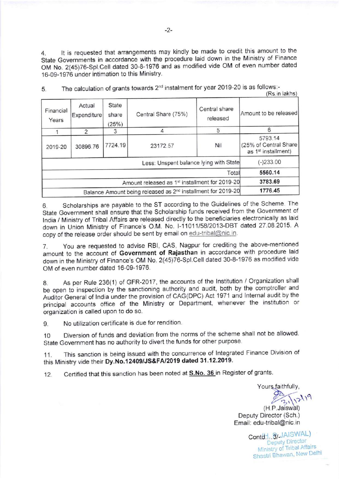4. lt is requested that arrangements may kindly be made to credit this amount to the State Governments in accordance with the procedure laid down in the Ministry of Finance OM No. 2(45)76-Spl.Cell dated 30-8-1976 and as modified vide OM of even number dated 16-09-1976 under intimation to this Ministry.

|                                                                          |                       |                         |                     |                           | (113.111191113)                                                      |
|--------------------------------------------------------------------------|-----------------------|-------------------------|---------------------|---------------------------|----------------------------------------------------------------------|
| Financial<br>Years                                                       | Actual<br>Expenditure | State<br>share<br>(25%) | Central Share (75%) | Central share<br>released | Amount to be released                                                |
|                                                                          | 2                     |                         |                     | 5                         | 6                                                                    |
| 2019-20                                                                  | 30896.76              | 7724.19                 | 23172.57            | Nil                       | 5793.14<br>(25% of Central Share)<br>as 1 <sup>st</sup> installment) |
| Less: Unspent balance lying with State                                   |                       |                         |                     |                           | $(-)233.00$                                                          |
| Total                                                                    |                       |                         |                     |                           | 5560.14                                                              |
| Amount released as 1 <sup>st</sup> installment for 2019-20               |                       |                         |                     |                           | 3783.69                                                              |
| Balance Amount being released as 2 <sup>nd</sup> installment for 2019-20 |                       |                         |                     |                           | 1776.45                                                              |

5. The calculation of grants towards 2<sup>nd</sup> instalment for year 2019-20 is as follows:- $(Re in lakhe)$ 

6. Scholarships are payable to the sT according to the Guidelines of the Scheme. The State Government shall ensure that the Scholarship funds received from the Government of lndia / Ministry of Tribal Affairs are released directly to the beneficiaries electronically as laid down in Union Ministry of Finance's o.M. No. |-1101115812013-DBT dated 27 08.2015 <sup>A</sup> copy of the release order should be sent by email on edu-tribal@nic.in.

7. You are requested to advise RBl, cAs, Nagpur for crediting the above-mentioned amount to the account of Government of Rajasthan in accordance with procedure laid down tn the Ministry of Finance's oM No. 2(45)76-Spl.Cell dated 30-8-1976 as modified vide OM of even number dated 16-09-1976.

8. As per Rule 236(1) of GFR-2017, the accounts of the Institution / Organization shall be open to inspection by the sanctioning authority and audit, both by the comptroller and Auditor General of India under the provision of CAG(DPC) Act 1971 and Internal audit by the principal accounts office of the Ministry or Department, whenever the institution or organization is called upon to do so.

9. No utilization certificate is due for rendition.

1o Diversion of funds and deviation from the norms of the scheme shall not be allowed. State Government has no authority to divert the funds for other purpose.

11. This sanction is being issued with the concurrence of lntegrated Finance Division of this Ministry vide their Dy.No.12409/JS&FA/2019 dated 31.12.2019.

12. Certified that this sanction has been noted at **S.No. 36** in Register of grants.

Yours faithfully,  $( H.P. J axiswal)$ 

Deputy Director (Sch.) Email: edu-tribal@nic.in

> Contd. ... 8/-JAISWAL) Ministry of Tribal Affairs Shastri Bhawan, New Delhi